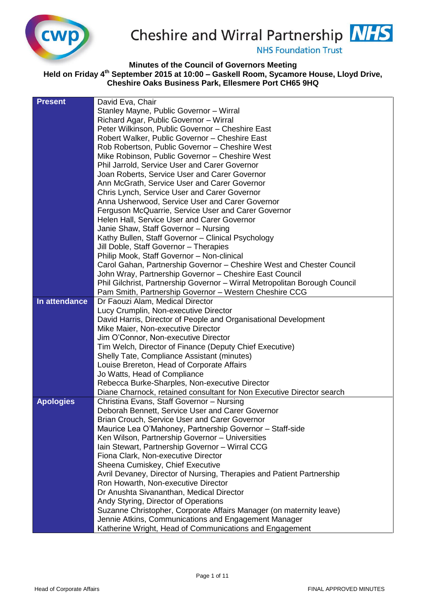

Cheshire and Wirral Partnership **NHS** 

**NHS Foundation Trust** 

## **Minutes of the Council of Governors Meeting Held on Friday 4 th September 2015 at 10:00 – Gaskell Room, Sycamore House, Lloyd Drive, Cheshire Oaks Business Park, Ellesmere Port CH65 9HQ**

| <b>Present</b>   | David Eva, Chair                                                           |
|------------------|----------------------------------------------------------------------------|
|                  | Stanley Mayne, Public Governor - Wirral                                    |
|                  | Richard Agar, Public Governor - Wirral                                     |
|                  | Peter Wilkinson, Public Governor - Cheshire East                           |
|                  | Robert Walker, Public Governor - Cheshire East                             |
|                  | Rob Robertson, Public Governor - Cheshire West                             |
|                  | Mike Robinson, Public Governor - Cheshire West                             |
|                  | Phil Jarrold, Service User and Carer Governor                              |
|                  | Joan Roberts, Service User and Carer Governor                              |
|                  | Ann McGrath, Service User and Carer Governor                               |
|                  | Chris Lynch, Service User and Carer Governor                               |
|                  | Anna Usherwood, Service User and Carer Governor                            |
|                  | Ferguson McQuarrie, Service User and Carer Governor                        |
|                  | Helen Hall, Service User and Carer Governor                                |
|                  | Janie Shaw, Staff Governor - Nursing                                       |
|                  | Kathy Bullen, Staff Governor - Clinical Psychology                         |
|                  | Jill Doble, Staff Governor - Therapies                                     |
|                  | Philip Mook, Staff Governor - Non-clinical                                 |
|                  | Carol Gahan, Partnership Governor - Cheshire West and Chester Council      |
|                  | John Wray, Partnership Governor - Cheshire East Council                    |
|                  | Phil Gilchrist, Partnership Governor - Wirral Metropolitan Borough Council |
|                  | Pam Smith, Partnership Governor - Western Cheshire CCG                     |
| In attendance    | Dr Faouzi Alam, Medical Director                                           |
|                  | Lucy Crumplin, Non-executive Director                                      |
|                  | David Harris, Director of People and Organisational Development            |
|                  | Mike Maier, Non-executive Director                                         |
|                  | Jim O'Connor, Non-executive Director                                       |
|                  | Tim Welch, Director of Finance (Deputy Chief Executive)                    |
|                  | Shelly Tate, Compliance Assistant (minutes)                                |
|                  | Louise Brereton, Head of Corporate Affairs                                 |
|                  | Jo Watts, Head of Compliance                                               |
|                  | Rebecca Burke-Sharples, Non-executive Director                             |
|                  | Diane Charnock, retained consultant for Non Executive Director search      |
| <b>Apologies</b> | Christina Evans, Staff Governor - Nursing                                  |
|                  | Deborah Bennett, Service User and Carer Governor                           |
|                  | Brian Crouch, Service User and Carer Governor                              |
|                  | Maurice Lea O'Mahoney, Partnership Governor - Staff-side                   |
|                  | Ken Wilson, Partnership Governor - Universities                            |
|                  | Iain Stewart, Partnership Governor - Wirral CCG                            |
|                  | Fiona Clark, Non-executive Director                                        |
|                  | Sheena Cumiskey, Chief Executive                                           |
|                  | Avril Devaney, Director of Nursing, Therapies and Patient Partnership      |
|                  | Ron Howarth, Non-executive Director                                        |
|                  | Dr Anushta Sivananthan, Medical Director                                   |
|                  | Andy Styring, Director of Operations                                       |
|                  | Suzanne Christopher, Corporate Affairs Manager (on maternity leave)        |
|                  | Jennie Atkins, Communications and Engagement Manager                       |
|                  | Katherine Wright, Head of Communications and Engagement                    |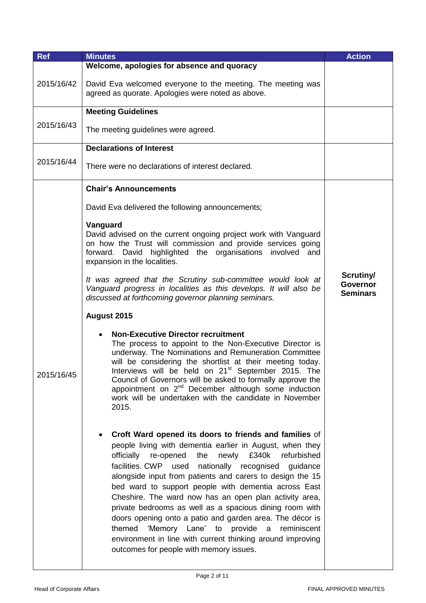| <b>Ref</b> | <b>Minutes</b>                                                                                                                                                                                                                                                                                                                                                                                                                                                                                                                                                                                                                                                                                                           | <b>Action</b>                                   |
|------------|--------------------------------------------------------------------------------------------------------------------------------------------------------------------------------------------------------------------------------------------------------------------------------------------------------------------------------------------------------------------------------------------------------------------------------------------------------------------------------------------------------------------------------------------------------------------------------------------------------------------------------------------------------------------------------------------------------------------------|-------------------------------------------------|
| 2015/16/42 | Welcome, apologies for absence and quoracy<br>David Eva welcomed everyone to the meeting. The meeting was<br>agreed as quorate. Apologies were noted as above.                                                                                                                                                                                                                                                                                                                                                                                                                                                                                                                                                           |                                                 |
|            | <b>Meeting Guidelines</b>                                                                                                                                                                                                                                                                                                                                                                                                                                                                                                                                                                                                                                                                                                |                                                 |
| 2015/16/43 | The meeting guidelines were agreed.                                                                                                                                                                                                                                                                                                                                                                                                                                                                                                                                                                                                                                                                                      |                                                 |
|            | <b>Declarations of Interest</b>                                                                                                                                                                                                                                                                                                                                                                                                                                                                                                                                                                                                                                                                                          |                                                 |
| 2015/16/44 | There were no declarations of interest declared.                                                                                                                                                                                                                                                                                                                                                                                                                                                                                                                                                                                                                                                                         |                                                 |
|            | <b>Chair's Announcements</b>                                                                                                                                                                                                                                                                                                                                                                                                                                                                                                                                                                                                                                                                                             |                                                 |
|            | David Eva delivered the following announcements;                                                                                                                                                                                                                                                                                                                                                                                                                                                                                                                                                                                                                                                                         |                                                 |
|            | Vanguard<br>David advised on the current ongoing project work with Vanguard<br>on how the Trust will commission and provide services going<br>forward. David highlighted the organisations involved and<br>expansion in the localities.                                                                                                                                                                                                                                                                                                                                                                                                                                                                                  |                                                 |
|            | It was agreed that the Scrutiny sub-committee would look at<br>Vanguard progress in localities as this develops. It will also be<br>discussed at forthcoming governor planning seminars.                                                                                                                                                                                                                                                                                                                                                                                                                                                                                                                                 | Scrutiny/<br><b>Governor</b><br><b>Seminars</b> |
|            | August 2015                                                                                                                                                                                                                                                                                                                                                                                                                                                                                                                                                                                                                                                                                                              |                                                 |
| 2015/16/45 | <b>Non-Executive Director recruitment</b><br>The process to appoint to the Non-Executive Director is<br>underway. The Nominations and Remuneration Committee<br>will be considering the shortlist at their meeting today.<br>Interviews will be held on 21 <sup>st</sup> September 2015. The<br>Council of Governors will be asked to formally approve the<br>appointment on 2 <sup>nd</sup> December although some induction<br>work will be undertaken with the candidate in November<br>2015.                                                                                                                                                                                                                         |                                                 |
|            | Croft Ward opened its doors to friends and families of<br>people living with dementia earlier in August, when they<br>newly £340k<br>refurbished<br>officially re-opened<br>the<br>facilities. CWP used<br>nationally recognised<br>guidance<br>alongside input from patients and carers to design the 15<br>bed ward to support people with dementia across East<br>Cheshire. The ward now has an open plan activity area,<br>private bedrooms as well as a spacious dining room with<br>doors opening onto a patio and garden area. The décor is<br>'Memory Lane' to<br>provide<br>themed<br>a<br>reminiscent<br>environment in line with current thinking around improving<br>outcomes for people with memory issues. |                                                 |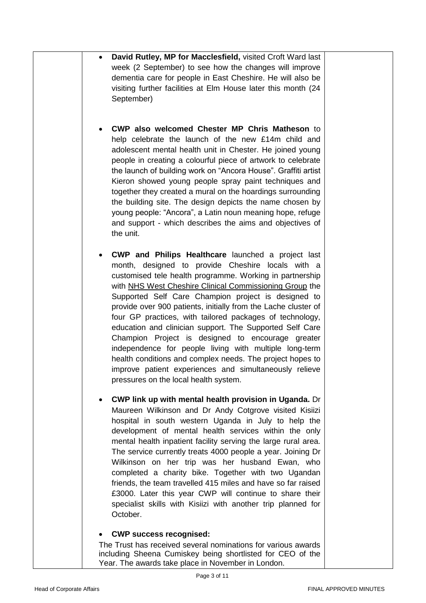|  | David Rutley, MP for Macclesfield, visited Croft Ward last<br>week (2 September) to see how the changes will improve<br>dementia care for people in East Cheshire. He will also be<br>visiting further facilities at Elm House later this month (24<br>September)                                                                                                                                                                                                                                                                                                                                                                                                                                                                                              |
|--|----------------------------------------------------------------------------------------------------------------------------------------------------------------------------------------------------------------------------------------------------------------------------------------------------------------------------------------------------------------------------------------------------------------------------------------------------------------------------------------------------------------------------------------------------------------------------------------------------------------------------------------------------------------------------------------------------------------------------------------------------------------|
|  | CWP also welcomed Chester MP Chris Matheson to<br>help celebrate the launch of the new £14m child and<br>adolescent mental health unit in Chester. He joined young<br>people in creating a colourful piece of artwork to celebrate<br>the launch of building work on "Ancora House". Graffiti artist<br>Kieron showed young people spray paint techniques and<br>together they created a mural on the hoardings surrounding<br>the building site. The design depicts the name chosen by<br>young people: "Ancora", a Latin noun meaning hope, refuge<br>and support - which describes the aims and objectives of<br>the unit.                                                                                                                                  |
|  | CWP and Philips Healthcare launched a project last<br>month, designed to provide Cheshire locals with a<br>customised tele health programme. Working in partnership<br>with NHS West Cheshire Clinical Commissioning Group the<br>Supported Self Care Champion project is designed to<br>provide over 900 patients, initially from the Lache cluster of<br>four GP practices, with tailored packages of technology,<br>education and clinician support. The Supported Self Care<br>Champion Project is designed to encourage greater<br>independence for people living with multiple long-term<br>health conditions and complex needs. The project hopes to<br>improve patient experiences and simultaneously relieve<br>pressures on the local health system. |
|  | <b>CWP link up with mental health provision in Uganda.</b> Dr<br>Maureen Wilkinson and Dr Andy Cotgrove visited Kisiizi<br>hospital in south western Uganda in July to help the<br>development of mental health services within the only<br>mental health inpatient facility serving the large rural area.<br>The service currently treats 4000 people a year. Joining Dr<br>Wilkinson on her trip was her husband Ewan, who<br>completed a charity bike. Together with two Ugandan<br>friends, the team travelled 415 miles and have so far raised<br>£3000. Later this year CWP will continue to share their<br>specialist skills with Kisiizi with another trip planned for<br>October.                                                                     |
|  | <b>CWP success recognised:</b><br>The Trust has received several nominations for various awards<br>including Sheena Cumiskey being shortlisted for CEO of the                                                                                                                                                                                                                                                                                                                                                                                                                                                                                                                                                                                                  |

Year. The awards take place in November in London.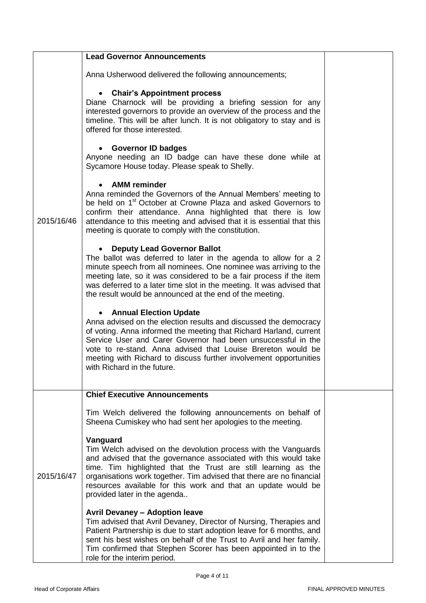|            | <b>Lead Governor Announcements</b>                                                                                                                                                                                                                                                                                                                                                                          |  |
|------------|-------------------------------------------------------------------------------------------------------------------------------------------------------------------------------------------------------------------------------------------------------------------------------------------------------------------------------------------------------------------------------------------------------------|--|
|            | Anna Usherwood delivered the following announcements;                                                                                                                                                                                                                                                                                                                                                       |  |
|            | <b>Chair's Appointment process</b><br>Diane Charnock will be providing a briefing session for any<br>interested governors to provide an overview of the process and the<br>timeline. This will be after lunch. It is not obligatory to stay and is<br>offered for those interested.                                                                                                                         |  |
|            | <b>Governor ID badges</b><br>Anyone needing an ID badge can have these done while at<br>Sycamore House today. Please speak to Shelly.                                                                                                                                                                                                                                                                       |  |
| 2015/16/46 | <b>AMM</b> reminder<br>Anna reminded the Governors of the Annual Members' meeting to<br>be held on 1 <sup>st</sup> October at Crowne Plaza and asked Governors to<br>confirm their attendance. Anna highlighted that there is low<br>attendance to this meeting and advised that it is essential that this<br>meeting is quorate to comply with the constitution.                                           |  |
|            | <b>Deputy Lead Governor Ballot</b><br>The ballot was deferred to later in the agenda to allow for a 2<br>minute speech from all nominees. One nominee was arriving to the<br>meeting late, so it was considered to be a fair process if the item<br>was deferred to a later time slot in the meeting. It was advised that<br>the result would be announced at the end of the meeting.                       |  |
|            | <b>Annual Election Update</b><br>Anna advised on the election results and discussed the democracy<br>of voting. Anna informed the meeting that Richard Harland, current<br>Service User and Carer Governor had been unsuccessful in the<br>vote to re-stand. Anna advised that Louise Brereton would be<br>meeting with Richard to discuss further involvement opportunities<br>with Richard in the future. |  |
|            | <b>Chief Executive Announcements</b>                                                                                                                                                                                                                                                                                                                                                                        |  |
|            | Tim Welch delivered the following announcements on behalf of<br>Sheena Cumiskey who had sent her apologies to the meeting.                                                                                                                                                                                                                                                                                  |  |
| 2015/16/47 | Vanguard<br>Tim Welch advised on the devolution process with the Vanguards<br>and advised that the governance associated with this would take<br>time. Tim highlighted that the Trust are still learning as the<br>organisations work together. Tim advised that there are no financial<br>resources available for this work and that an update would be<br>provided later in the agenda                    |  |
|            | <b>Avril Devaney - Adoption leave</b><br>Tim advised that Avril Devaney, Director of Nursing, Therapies and<br>Patient Partnership is due to start adoption leave for 6 months, and<br>sent his best wishes on behalf of the Trust to Avril and her family.<br>Tim confirmed that Stephen Scorer has been appointed in to the<br>role for the interim period.                                               |  |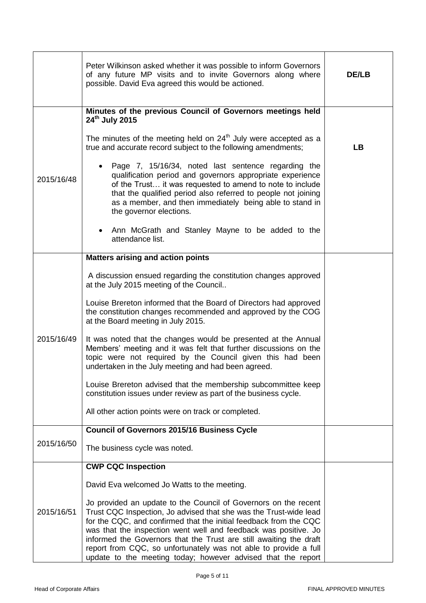|            | Peter Wilkinson asked whether it was possible to inform Governors<br>of any future MP visits and to invite Governors along where<br>possible. David Eva agreed this would be actioned.                                                                                                                                                                                                                                                                                                 | <b>DE/LB</b> |
|------------|----------------------------------------------------------------------------------------------------------------------------------------------------------------------------------------------------------------------------------------------------------------------------------------------------------------------------------------------------------------------------------------------------------------------------------------------------------------------------------------|--------------|
|            | Minutes of the previous Council of Governors meetings held<br>24 <sup>th</sup> July 2015<br>The minutes of the meeting held on $24th$ July were accepted as a<br>true and accurate record subject to the following amendments;<br>Page 7, 15/16/34, noted last sentence regarding the                                                                                                                                                                                                  | <b>LB</b>    |
| 2015/16/48 | qualification period and governors appropriate experience<br>of the Trust it was requested to amend to note to include<br>that the qualified period also referred to people not joining<br>as a member, and then immediately being able to stand in<br>the governor elections.                                                                                                                                                                                                         |              |
|            | Ann McGrath and Stanley Mayne to be added to the<br>attendance list.                                                                                                                                                                                                                                                                                                                                                                                                                   |              |
|            | <b>Matters arising and action points</b>                                                                                                                                                                                                                                                                                                                                                                                                                                               |              |
|            | A discussion ensued regarding the constitution changes approved<br>at the July 2015 meeting of the Council                                                                                                                                                                                                                                                                                                                                                                             |              |
|            | Louise Brereton informed that the Board of Directors had approved<br>the constitution changes recommended and approved by the COG<br>at the Board meeting in July 2015.                                                                                                                                                                                                                                                                                                                |              |
| 2015/16/49 | It was noted that the changes would be presented at the Annual<br>Members' meeting and it was felt that further discussions on the<br>topic were not required by the Council given this had been<br>undertaken in the July meeting and had been agreed.                                                                                                                                                                                                                                |              |
|            | Louise Brereton advised that the membership subcommittee keep<br>constitution issues under review as part of the business cycle.                                                                                                                                                                                                                                                                                                                                                       |              |
|            | All other action points were on track or completed.                                                                                                                                                                                                                                                                                                                                                                                                                                    |              |
|            | <b>Council of Governors 2015/16 Business Cycle</b>                                                                                                                                                                                                                                                                                                                                                                                                                                     |              |
| 2015/16/50 | The business cycle was noted.                                                                                                                                                                                                                                                                                                                                                                                                                                                          |              |
|            | <b>CWP CQC Inspection</b>                                                                                                                                                                                                                                                                                                                                                                                                                                                              |              |
|            | David Eva welcomed Jo Watts to the meeting.                                                                                                                                                                                                                                                                                                                                                                                                                                            |              |
| 2015/16/51 | Jo provided an update to the Council of Governors on the recent<br>Trust CQC Inspection, Jo advised that she was the Trust-wide lead<br>for the CQC, and confirmed that the initial feedback from the CQC<br>was that the inspection went well and feedback was positive. Jo<br>informed the Governors that the Trust are still awaiting the draft<br>report from CQC, so unfortunately was not able to provide a full<br>update to the meeting today; however advised that the report |              |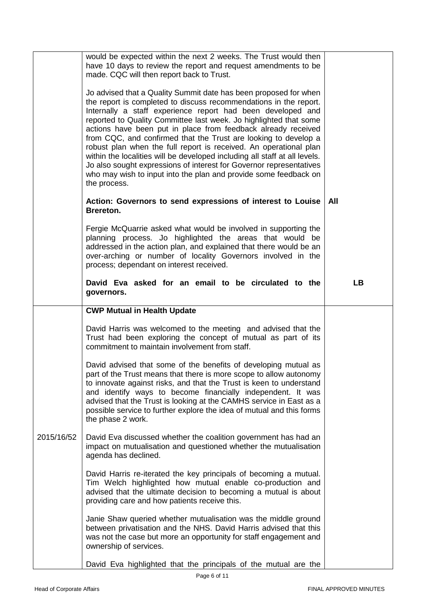|            | would be expected within the next 2 weeks. The Trust would then<br>have 10 days to review the report and request amendments to be<br>made. CQC will then report back to Trust.<br>Jo advised that a Quality Summit date has been proposed for when<br>the report is completed to discuss recommendations in the report.<br>Internally a staff experience report had been developed and<br>reported to Quality Committee last week. Jo highlighted that some<br>actions have been put in place from feedback already received<br>from CQC, and confirmed that the Trust are looking to develop a<br>robust plan when the full report is received. An operational plan<br>within the localities will be developed including all staff at all levels.<br>Jo also sought expressions of interest for Governor representatives<br>who may wish to input into the plan and provide some feedback on<br>the process.<br>Action: Governors to send expressions of interest to Louise<br>Brereton.<br>Fergie McQuarrie asked what would be involved in supporting the<br>planning process. Jo highlighted the areas that would be | All       |
|------------|--------------------------------------------------------------------------------------------------------------------------------------------------------------------------------------------------------------------------------------------------------------------------------------------------------------------------------------------------------------------------------------------------------------------------------------------------------------------------------------------------------------------------------------------------------------------------------------------------------------------------------------------------------------------------------------------------------------------------------------------------------------------------------------------------------------------------------------------------------------------------------------------------------------------------------------------------------------------------------------------------------------------------------------------------------------------------------------------------------------------------|-----------|
|            | addressed in the action plan, and explained that there would be an<br>over-arching or number of locality Governors involved in the<br>process; dependant on interest received.                                                                                                                                                                                                                                                                                                                                                                                                                                                                                                                                                                                                                                                                                                                                                                                                                                                                                                                                           |           |
|            | David Eva asked for an email to be circulated to the<br>governors.                                                                                                                                                                                                                                                                                                                                                                                                                                                                                                                                                                                                                                                                                                                                                                                                                                                                                                                                                                                                                                                       | <b>LB</b> |
|            | <b>CWP Mutual in Health Update</b>                                                                                                                                                                                                                                                                                                                                                                                                                                                                                                                                                                                                                                                                                                                                                                                                                                                                                                                                                                                                                                                                                       |           |
|            | David Harris was welcomed to the meeting and advised that the<br>Trust had been exploring the concept of mutual as part of its<br>commitment to maintain involvement from staff.                                                                                                                                                                                                                                                                                                                                                                                                                                                                                                                                                                                                                                                                                                                                                                                                                                                                                                                                         |           |
|            | David advised that some of the benefits of developing mutual as<br>part of the Trust means that there is more scope to allow autonomy<br>to innovate against risks, and that the Trust is keen to understand<br>and identify ways to become financially independent. It was<br>advised that the Trust is looking at the CAMHS service in East as a<br>possible service to further explore the idea of mutual and this forms<br>the phase 2 work.                                                                                                                                                                                                                                                                                                                                                                                                                                                                                                                                                                                                                                                                         |           |
| 2015/16/52 | David Eva discussed whether the coalition government has had an<br>impact on mutualisation and questioned whether the mutualisation<br>agenda has declined.                                                                                                                                                                                                                                                                                                                                                                                                                                                                                                                                                                                                                                                                                                                                                                                                                                                                                                                                                              |           |
|            | David Harris re-iterated the key principals of becoming a mutual.<br>Tim Welch highlighted how mutual enable co-production and<br>advised that the ultimate decision to becoming a mutual is about<br>providing care and how patients receive this.                                                                                                                                                                                                                                                                                                                                                                                                                                                                                                                                                                                                                                                                                                                                                                                                                                                                      |           |
|            | Janie Shaw queried whether mutualisation was the middle ground<br>between privatisation and the NHS. David Harris advised that this<br>was not the case but more an opportunity for staff engagement and<br>ownership of services.                                                                                                                                                                                                                                                                                                                                                                                                                                                                                                                                                                                                                                                                                                                                                                                                                                                                                       |           |
|            | David Eva highlighted that the principals of the mutual are the                                                                                                                                                                                                                                                                                                                                                                                                                                                                                                                                                                                                                                                                                                                                                                                                                                                                                                                                                                                                                                                          |           |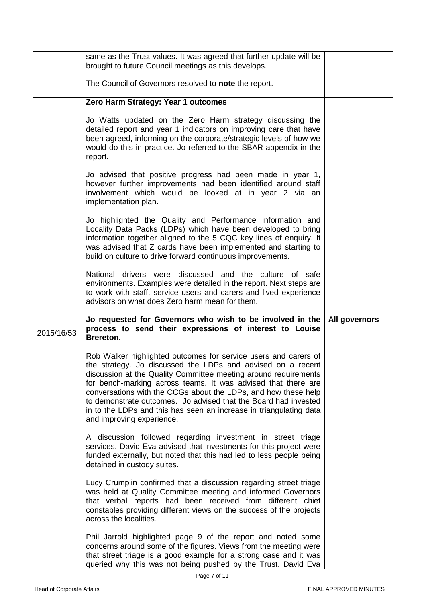|            | same as the Trust values. It was agreed that further update will be<br>brought to future Council meetings as this develops.                                                                                                                                                                                                                                                                                                             |               |
|------------|-----------------------------------------------------------------------------------------------------------------------------------------------------------------------------------------------------------------------------------------------------------------------------------------------------------------------------------------------------------------------------------------------------------------------------------------|---------------|
|            | The Council of Governors resolved to note the report.                                                                                                                                                                                                                                                                                                                                                                                   |               |
|            | Zero Harm Strategy: Year 1 outcomes                                                                                                                                                                                                                                                                                                                                                                                                     |               |
|            | Jo Watts updated on the Zero Harm strategy discussing the<br>detailed report and year 1 indicators on improving care that have<br>been agreed, informing on the corporate/strategic levels of how we<br>would do this in practice. Jo referred to the SBAR appendix in the<br>report.                                                                                                                                                   |               |
|            | Jo advised that positive progress had been made in year 1,<br>however further improvements had been identified around staff<br>involvement which would be looked at in year 2 via an<br>implementation plan.                                                                                                                                                                                                                            |               |
|            | Jo highlighted the Quality and Performance information and<br>Locality Data Packs (LDPs) which have been developed to bring<br>information together aligned to the 5 CQC key lines of enquiry. It<br>was advised that Z cards have been implemented and starting to<br>build on culture to drive forward continuous improvements.                                                                                                       |               |
|            | National drivers were discussed and the culture of safe<br>environments. Examples were detailed in the report. Next steps are<br>to work with staff, service users and carers and lived experience<br>advisors on what does Zero harm mean for them.                                                                                                                                                                                    |               |
| 2015/16/53 | Jo requested for Governors who wish to be involved in the<br>process to send their expressions of interest to Louise<br>Brereton.                                                                                                                                                                                                                                                                                                       | All governors |
|            | Rob Walker highlighted outcomes for service users and carers of                                                                                                                                                                                                                                                                                                                                                                         |               |
|            | the strategy. Jo discussed the LDPs and advised on a recent<br>discussion at the Quality Committee meeting around requirements<br>for bench-marking across teams. It was advised that there are<br>conversations with the CCGs about the LDPs, and how these help<br>to demonstrate outcomes. Jo advised that the Board had invested<br>in to the LDPs and this has seen an increase in triangulating data<br>and improving experience. |               |
|            | A discussion followed regarding investment in street triage<br>services. David Eva advised that investments for this project were<br>funded externally, but noted that this had led to less people being<br>detained in custody suites.                                                                                                                                                                                                 |               |
|            | Lucy Crumplin confirmed that a discussion regarding street triage<br>was held at Quality Committee meeting and informed Governors<br>that verbal reports had been received from different chief<br>constables providing different views on the success of the projects<br>across the localities.                                                                                                                                        |               |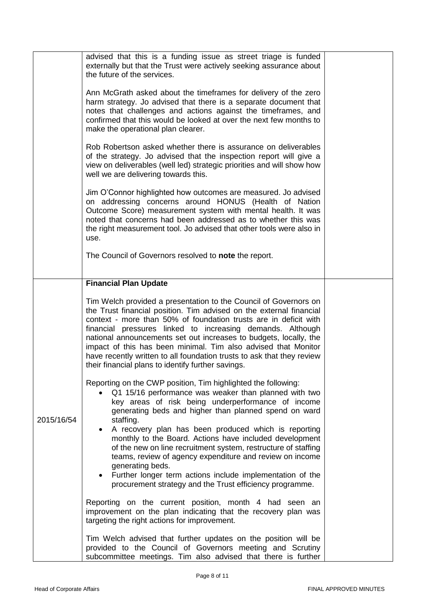|            | advised that this is a funding issue as street triage is funded<br>externally but that the Trust were actively seeking assurance about<br>the future of the services.                                                                                                                                                                                                                                                                                                                                                                            |  |
|------------|--------------------------------------------------------------------------------------------------------------------------------------------------------------------------------------------------------------------------------------------------------------------------------------------------------------------------------------------------------------------------------------------------------------------------------------------------------------------------------------------------------------------------------------------------|--|
|            | Ann McGrath asked about the timeframes for delivery of the zero<br>harm strategy. Jo advised that there is a separate document that<br>notes that challenges and actions against the timeframes, and<br>confirmed that this would be looked at over the next few months to<br>make the operational plan clearer.                                                                                                                                                                                                                                 |  |
|            | Rob Robertson asked whether there is assurance on deliverables<br>of the strategy. Jo advised that the inspection report will give a<br>view on deliverables (well led) strategic priorities and will show how<br>well we are delivering towards this.                                                                                                                                                                                                                                                                                           |  |
|            | Jim O'Connor highlighted how outcomes are measured. Jo advised<br>on addressing concerns around HONUS (Health of Nation<br>Outcome Score) measurement system with mental health. It was<br>noted that concerns had been addressed as to whether this was<br>the right measurement tool. Jo advised that other tools were also in<br>use.                                                                                                                                                                                                         |  |
|            | The Council of Governors resolved to note the report.                                                                                                                                                                                                                                                                                                                                                                                                                                                                                            |  |
|            | <b>Financial Plan Update</b>                                                                                                                                                                                                                                                                                                                                                                                                                                                                                                                     |  |
|            | Tim Welch provided a presentation to the Council of Governors on<br>the Trust financial position. Tim advised on the external financial<br>context - more than 50% of foundation trusts are in deficit with<br>financial pressures linked to increasing demands. Although<br>national announcements set out increases to budgets, locally, the<br>impact of this has been minimal. Tim also advised that Monitor<br>have recently written to all foundation trusts to ask that they review<br>their financial plans to identify further savings. |  |
| 2015/16/54 | Reporting on the CWP position, Tim highlighted the following:<br>Q1 15/16 performance was weaker than planned with two<br>key areas of risk being underperformance of income<br>generating beds and higher than planned spend on ward<br>staffing.                                                                                                                                                                                                                                                                                               |  |
|            | A recovery plan has been produced which is reporting<br>monthly to the Board. Actions have included development<br>of the new on line recruitment system, restructure of staffing<br>teams, review of agency expenditure and review on income<br>generating beds.<br>• Further longer term actions include implementation of the<br>procurement strategy and the Trust efficiency programme.                                                                                                                                                     |  |
|            | Reporting on the current position, month 4 had seen an<br>improvement on the plan indicating that the recovery plan was<br>targeting the right actions for improvement.                                                                                                                                                                                                                                                                                                                                                                          |  |
|            | Tim Welch advised that further updates on the position will be<br>provided to the Council of Governors meeting and Scrutiny<br>subcommittee meetings. Tim also advised that there is further                                                                                                                                                                                                                                                                                                                                                     |  |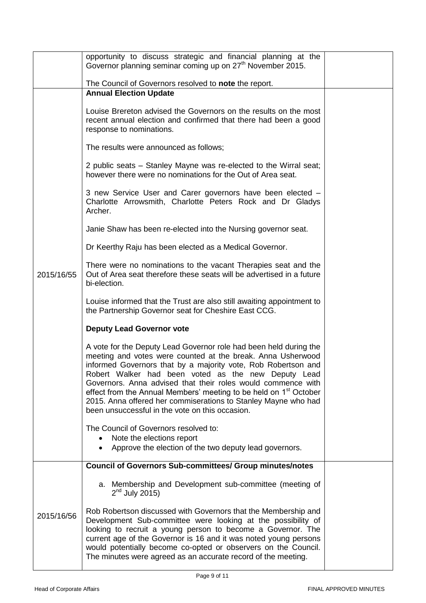|            | opportunity to discuss strategic and financial planning at the<br>Governor planning seminar coming up on 27 <sup>th</sup> November 2015.                                                                                                                                                                                                                                                                                                                                                                                       |  |
|------------|--------------------------------------------------------------------------------------------------------------------------------------------------------------------------------------------------------------------------------------------------------------------------------------------------------------------------------------------------------------------------------------------------------------------------------------------------------------------------------------------------------------------------------|--|
|            | The Council of Governors resolved to note the report.                                                                                                                                                                                                                                                                                                                                                                                                                                                                          |  |
|            | <b>Annual Election Update</b>                                                                                                                                                                                                                                                                                                                                                                                                                                                                                                  |  |
|            | Louise Brereton advised the Governors on the results on the most<br>recent annual election and confirmed that there had been a good<br>response to nominations.                                                                                                                                                                                                                                                                                                                                                                |  |
|            | The results were announced as follows;                                                                                                                                                                                                                                                                                                                                                                                                                                                                                         |  |
|            | 2 public seats – Stanley Mayne was re-elected to the Wirral seat;<br>however there were no nominations for the Out of Area seat.                                                                                                                                                                                                                                                                                                                                                                                               |  |
|            | 3 new Service User and Carer governors have been elected -<br>Charlotte Arrowsmith, Charlotte Peters Rock and Dr Gladys<br>Archer.                                                                                                                                                                                                                                                                                                                                                                                             |  |
|            | Janie Shaw has been re-elected into the Nursing governor seat.                                                                                                                                                                                                                                                                                                                                                                                                                                                                 |  |
|            | Dr Keerthy Raju has been elected as a Medical Governor.                                                                                                                                                                                                                                                                                                                                                                                                                                                                        |  |
| 2015/16/55 | There were no nominations to the vacant Therapies seat and the<br>Out of Area seat therefore these seats will be advertised in a future<br>bi-election.                                                                                                                                                                                                                                                                                                                                                                        |  |
|            | Louise informed that the Trust are also still awaiting appointment to<br>the Partnership Governor seat for Cheshire East CCG.                                                                                                                                                                                                                                                                                                                                                                                                  |  |
|            | <b>Deputy Lead Governor vote</b>                                                                                                                                                                                                                                                                                                                                                                                                                                                                                               |  |
|            | A vote for the Deputy Lead Governor role had been held during the<br>meeting and votes were counted at the break. Anna Usherwood<br>informed Governors that by a majority vote, Rob Robertson and<br>Robert Walker had been voted as the new Deputy Lead<br>Governors. Anna advised that their roles would commence with<br>effect from the Annual Members' meeting to be held on 1 <sup>st</sup> October<br>2015. Anna offered her commiserations to Stanley Mayne who had<br>been unsuccessful in the vote on this occasion. |  |
|            | The Council of Governors resolved to:                                                                                                                                                                                                                                                                                                                                                                                                                                                                                          |  |
|            | Note the elections report<br>Approve the election of the two deputy lead governors.<br>$\bullet$                                                                                                                                                                                                                                                                                                                                                                                                                               |  |
|            | <b>Council of Governors Sub-committees/ Group minutes/notes</b>                                                                                                                                                                                                                                                                                                                                                                                                                                                                |  |
|            | a. Membership and Development sub-committee (meeting of<br>$2nd$ July 2015)                                                                                                                                                                                                                                                                                                                                                                                                                                                    |  |
| 2015/16/56 | Rob Robertson discussed with Governors that the Membership and<br>Development Sub-committee were looking at the possibility of<br>looking to recruit a young person to become a Governor. The<br>current age of the Governor is 16 and it was noted young persons<br>would potentially become co-opted or observers on the Council.<br>The minutes were agreed as an accurate record of the meeting.                                                                                                                           |  |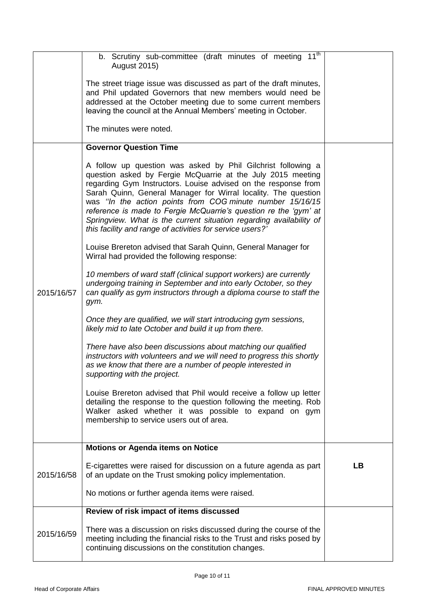|            | b. Scrutiny sub-committee (draft minutes of meeting 11 <sup>th</sup><br><b>August 2015)</b><br>The street triage issue was discussed as part of the draft minutes,<br>and Phil updated Governors that new members would need be<br>addressed at the October meeting due to some current members<br>leaving the council at the Annual Members' meeting in October.<br>The minutes were noted.                                                                                                                                         |    |
|------------|--------------------------------------------------------------------------------------------------------------------------------------------------------------------------------------------------------------------------------------------------------------------------------------------------------------------------------------------------------------------------------------------------------------------------------------------------------------------------------------------------------------------------------------|----|
|            | <b>Governor Question Time</b>                                                                                                                                                                                                                                                                                                                                                                                                                                                                                                        |    |
|            | A follow up question was asked by Phil Gilchrist following a<br>question asked by Fergie McQuarrie at the July 2015 meeting<br>regarding Gym Instructors. Louise advised on the response from<br>Sarah Quinn, General Manager for Wirral locality. The question<br>was "In the action points from COG minute number 15/16/15<br>reference is made to Fergie McQuarrie's question re the 'gym' at<br>Springview. What is the current situation regarding availability of<br>this facility and range of activities for service users?' |    |
|            | Louise Brereton advised that Sarah Quinn, General Manager for<br>Wirral had provided the following response:                                                                                                                                                                                                                                                                                                                                                                                                                         |    |
| 2015/16/57 | 10 members of ward staff (clinical support workers) are currently<br>undergoing training in September and into early October, so they<br>can qualify as gym instructors through a diploma course to staff the<br>gym.                                                                                                                                                                                                                                                                                                                |    |
|            | Once they are qualified, we will start introducing gym sessions,<br>likely mid to late October and build it up from there.                                                                                                                                                                                                                                                                                                                                                                                                           |    |
|            | There have also been discussions about matching our qualified<br>instructors with volunteers and we will need to progress this shortly<br>as we know that there are a number of people interested in<br>supporting with the project.                                                                                                                                                                                                                                                                                                 |    |
|            | Louise Brereton advised that Phil would receive a follow up letter<br>detailing the response to the question following the meeting. Rob<br>Walker asked whether it was possible to expand on gym<br>membership to service users out of area.                                                                                                                                                                                                                                                                                         |    |
|            | <b>Motions or Agenda items on Notice</b>                                                                                                                                                                                                                                                                                                                                                                                                                                                                                             |    |
| 2015/16/58 | E-cigarettes were raised for discussion on a future agenda as part<br>of an update on the Trust smoking policy implementation.                                                                                                                                                                                                                                                                                                                                                                                                       | LB |
|            | No motions or further agenda items were raised.                                                                                                                                                                                                                                                                                                                                                                                                                                                                                      |    |
|            | Review of risk impact of items discussed                                                                                                                                                                                                                                                                                                                                                                                                                                                                                             |    |
| 2015/16/59 | There was a discussion on risks discussed during the course of the<br>meeting including the financial risks to the Trust and risks posed by<br>continuing discussions on the constitution changes.                                                                                                                                                                                                                                                                                                                                   |    |